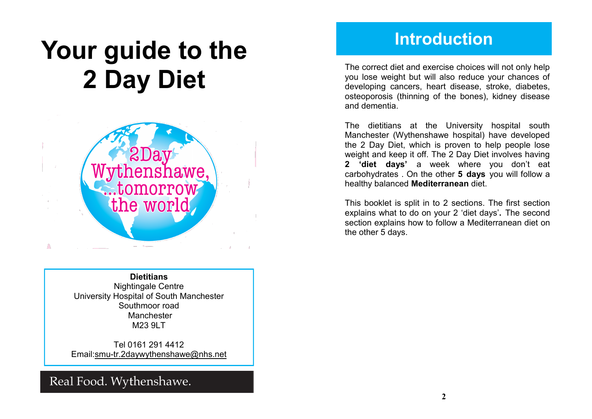# **Your guide to the 2 Day Diet**



**Dietitians** Nightingale Centre University Hospital of South Manchester Southmoor road Manchester M23 9LT

Tel 0161 291 4412 Email:smu-tr.2daywythenshawe@nhs.net

### Real Food. Wythenshawe.

### **Introduction**

The correct diet and exercise choices will not only help you lose weight but will also reduce your chances of developing cancers, heart disease, stroke, diabetes, osteoporosis (thinning of the bones), kidney disease and dementia.

The dietitians at the University hospital south Manchester (Wythenshawe hospital) have developed the 2 Day Diet, which is proven to help people lose weight and keep it off. The 2 Day Diet involves having **2 'diet days'** a week where you don't eat carbohydrates . On the other **5 days** you will follow a healthy balanced **Mediterranean** diet.

This booklet is split in to 2 sections. The first section explains what to do on your 2 'diet days'**.** The second section explains how to follow a Mediterranean diet on the other 5 days.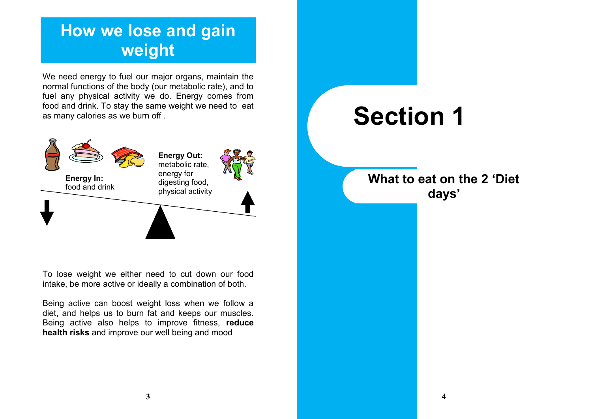# **How we lose and gain weight**

We need energy to fuel our major organs, maintain the normal functions of the body (our metabolic rate), and to fuel any physical activity we do. Energy comes from food and drink. To stay the same weight we need to eat as many calories as we burn off .



To lose weight we either need to cut down our food intake, be more active or ideally a combination of both.

Being active can boost weight loss when we follow a diet, and helps us to burn fat and keeps our muscles. Being active also helps to improve fitness, **reduce health risks** and improve our well being and mood

# **Section 1**

**What to eat on the 2 'Diet days'**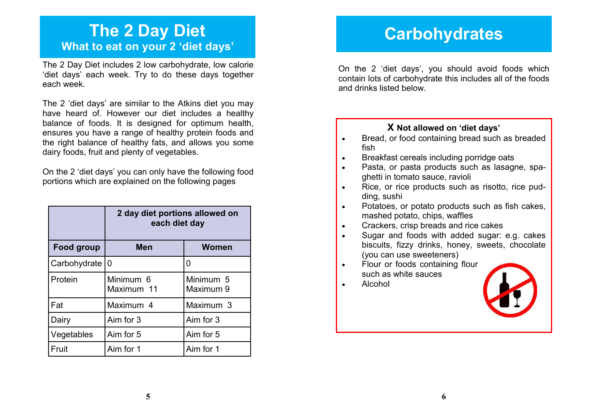### **The 2 Day Diet What to eat on your 2 'diet days'**

The 2 Day Diet includes 2 low carbohydrate, low calorie 'diet days' each week. Try to do these days together each week.

The 2 'diet days' are similar to the Atkins diet you may have heard of. However our diet includes a healthy balance of foods. It is designed for optimum health, ensures you have a range of healthy protein foods and the right balance of healthy fats, and allows you some dairy foods, fruit and plenty of vegetables.

On the 2 'diet days' you can only have the following food portions which are explained on the following pages

|                  | 2 day diet portions allowed on<br>each diet day |                        |
|------------------|-------------------------------------------------|------------------------|
| Food group       | <b>Men</b>                                      | Women                  |
| Carbohydrate   0 |                                                 | 0                      |
| Protein          | Minimum 6<br>Maximum 11                         | Minimum 5<br>Maximum 9 |
| Fat              | Maximum 4                                       | Maximum 3              |
| Dairy            | Aim for 3                                       | Aim for 3              |
| Vegetables       | Aim for 5                                       | Aim for 5              |
| Fruit            | Aim for 1                                       | Aim for 1              |

### **Carbohydrates**

On the 2 'diet days', you should avoid foods which contain lots of carbohydrate this includes all of the foods and drinks listed below.

#### **X Not allowed on 'diet days'**

- Bread, or food containing bread such as breaded fish
- Breakfast cereals including porridge oats
- Pasta, or pasta products such as lasagne, spaghetti in tomato sauce, ravioli
- Rice, or rice products such as risotto, rice pudding, sushi
- Potatoes, or potato products such as fish cakes, mashed potato, chips, waffles
- Crackers, crisp breads and rice cakes
- Sugar and foods with added sugar: e.g. cakes biscuits, fizzy drinks, honey, sweets, chocolate (you can use sweeteners)
- Flour or foods containing flour such as white sauces
- Alcohol

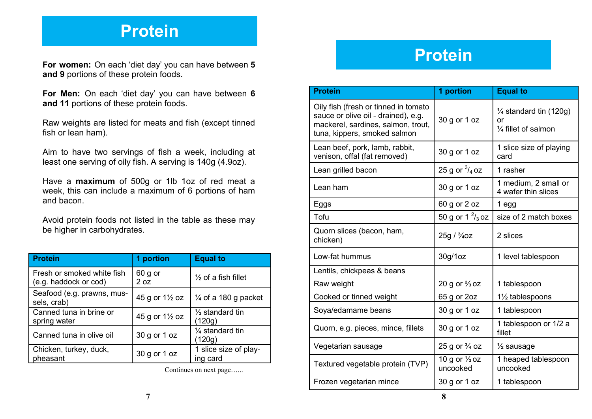### **Protein**

**For women:** On each 'diet day' you can have between **5 and 9** portions of these protein foods.

**For Men:** On each 'diet day' you can have between **6 and 11** portions of these protein foods.

Raw weights are listed for meats and fish (except tinned fish or lean ham).

Aim to have two servings of fish a week, including at least one serving of oily fish. A serving is 140g (4.9oz).

Have a **maximum** of 500g or 1lb 1oz of red meat a week, this can include a maximum of 6 portions of ham and bacon.

Avoid protein foods not listed in the table as these may be higher in carbohydrates.

| <b>Protein</b>                                      | 1 portion                                | <b>Equal to</b>                      |
|-----------------------------------------------------|------------------------------------------|--------------------------------------|
| Fresh or smoked white fish<br>(e.g. haddock or cod) | 60 g or<br>2 oz                          | $\frac{1}{2}$ of a fish fillet       |
| Seafood (e.g. prawns, mus-<br>sels, crab)           | 45 g or 1 <sup>1</sup> / <sub>2</sub> oz | $\frac{1}{4}$ of a 180 g packet      |
| Canned tuna in brine or<br>spring water             | 45 g or $1\frac{1}{2}$ oz                | $\frac{1}{3}$ standard tin<br>(120g) |
| Canned tuna in olive oil                            | 30 g or 1 oz                             | 1/4 standard tin<br>(120g)           |
| Chicken, turkey, duck,<br>pheasant                  | 30 g or 1 oz                             | 1 slice size of play-<br>ing card    |

Continues on next page…...

# **Protein**

| <b>Protein</b>                                                                                                                                    | 1 portion                            | <b>Equal to</b>                                                 |
|---------------------------------------------------------------------------------------------------------------------------------------------------|--------------------------------------|-----------------------------------------------------------------|
| Oily fish (fresh or tinned in tomato<br>sauce or olive oil - drained), e.g.<br>mackerel, sardines, salmon, trout,<br>tuna, kippers, smoked salmon | 30 g or 1 oz                         | $\frac{1}{4}$ standard tin (120g)<br>or<br>1/4 fillet of salmon |
| Lean beef, pork, lamb, rabbit,<br>venison, offal (fat removed)                                                                                    | 30 g or 1 oz                         | 1 slice size of playing<br>card                                 |
| Lean grilled bacon                                                                                                                                | 25 g or $\frac{3}{4}$ oz             | 1 rasher                                                        |
| Lean ham                                                                                                                                          | 30 g or 1 oz                         | 1 medium, 2 small or<br>4 wafer thin slices                     |
| Eggs                                                                                                                                              | 60 g or 2 oz                         | 1 egg                                                           |
| Tofu                                                                                                                                              | 50 g or 1 $\frac{2}{3}$ oz           | size of 2 match boxes                                           |
| Quorn slices (bacon, ham,<br>chicken)                                                                                                             | 25g / <sup>3</sup> / <sub>4</sub> 0z | 2 slices                                                        |
| Low-fat hummus                                                                                                                                    | 30g/1oz                              | 1 level tablespoon                                              |
| Lentils, chickpeas & beans                                                                                                                        |                                      |                                                                 |
| Raw weight                                                                                                                                        | 20 g or $\frac{2}{3}$ oz             | 1 tablespoon                                                    |
| Cooked or tinned weight                                                                                                                           | 65 g or 2oz                          | 11/2 tablespoons                                                |
| Soya/edamame beans                                                                                                                                | 30 g or 1 oz                         | 1 tablespoon                                                    |
| Quorn, e.g. pieces, mince, fillets                                                                                                                | 30 g or 1 oz                         | 1 tablespoon or 1/2 a<br>fillet                                 |
| Vegetarian sausage                                                                                                                                | 25 g or $\frac{3}{4}$ oz             | $\frac{1}{2}$ sausage                                           |
| Textured vegetable protein (TVP)                                                                                                                  | 10 g or $\frac{1}{3}$ oz<br>uncooked | 1 heaped tablespoon<br>uncooked                                 |
| Frozen vegetarian mince                                                                                                                           | 30 g or 1 oz                         | 1 tablespoon                                                    |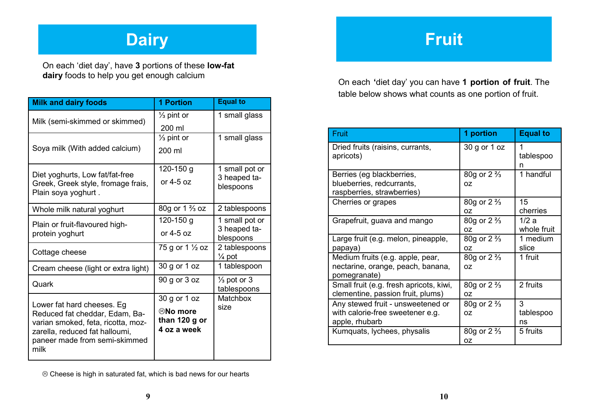# **Dairy**

On each 'diet day', have **3** portions of these **low-fat dairy** foods to help you get enough calcium

| <b>Milk and dairy foods</b>                                                                                                                     | <b>1 Portion</b>                                | <b>Equal to</b>                       |
|-------------------------------------------------------------------------------------------------------------------------------------------------|-------------------------------------------------|---------------------------------------|
| Milk (semi-skimmed or skimmed)                                                                                                                  | $\frac{1}{3}$ pint or                           | 1 small glass                         |
|                                                                                                                                                 | 200 ml                                          |                                       |
|                                                                                                                                                 | $\frac{1}{3}$ pint or                           | 1 small glass                         |
| Soya milk (With added calcium)                                                                                                                  | 200 ml                                          |                                       |
| Diet yoghurts, Low fat/fat-free                                                                                                                 | 120-150 g                                       | 1 small pot or                        |
| Greek, Greek style, fromage frais,<br>Plain soya yoghurt.                                                                                       | or 4-5 oz                                       | 3 heaped ta-<br>blespoons             |
| Whole milk natural yoghurt                                                                                                                      | 80g or 1 <sup>2</sup> / <sub>3</sub> oz         | 2 tablespoons                         |
| Plain or fruit-flavoured high-                                                                                                                  | 120-150 g                                       | 1 small pot or                        |
| protein yoghurt                                                                                                                                 | or $4-5$ oz                                     | 3 heaped ta-<br>blespoons             |
| Cottage cheese                                                                                                                                  | 75 g or 1 1/2 oz                                | 2 tablespoons<br>$\frac{1}{4}$ pot    |
| Cream cheese (light or extra light)                                                                                                             | 30 g or 1 oz                                    | 1 tablespoon                          |
| Quark                                                                                                                                           | 90 g or 3 oz                                    | $\frac{1}{3}$ pot or 3<br>tablespoons |
| Lower fat hard cheeses. Eg                                                                                                                      | 30 g or 1 oz                                    | Matchbox                              |
| Reduced fat cheddar, Edam, Ba-<br>varian smoked, feta, ricotta, moz-<br>zarella, reduced fat halloumi,<br>paneer made from semi-skimmed<br>milk | <b>®No more</b><br>than 120 g or<br>4 oz a week | size                                  |

Cheese is high in saturated fat, which is bad news for our hearts

# **Fruit**

On each **'**diet day' you can have **1 portion of fruit**. The table below shows what counts as one portion of fruit.

| Fruit                                                                                   | 1 portion                          | <b>Equal to</b>      |
|-----------------------------------------------------------------------------------------|------------------------------------|----------------------|
| Dried fruits (raisins, currants,<br>apricots)                                           | 30 g or 1 oz                       | 1<br>tablespoo<br>n  |
| Berries (eg blackberries,<br>blueberries, redcurrants,<br>raspberries, strawberries)    | 80g or $2\frac{2}{3}$<br>0Z        | 1 handful            |
| Cherries or grapes                                                                      | 80g or $2\frac{2}{3}$<br>0Z        | 15<br>cherries       |
| Grapefruit, guava and mango                                                             | 80g or $2\frac{2}{3}$<br>0Z        | 1/2a<br>whole fruit  |
| Large fruit (e.g. melon, pineapple,<br>papaya)                                          | 80g or $2\frac{2}{3}$<br>0Z        | 1 medium<br>slice    |
| Medium fruits (e.g. apple, pear,<br>nectarine, orange, peach, banana,<br>pomegranate)   | 80g or $2\frac{2}{3}$<br>OZ.       | 1 fruit              |
| Small fruit (e.g. fresh apricots, kiwi,<br>clementine, passion fruit, plums)            | 80g or $2\frac{2}{3}$<br>0Z        | 2 fruits             |
| Any stewed fruit - unsweetened or<br>with calorie-free sweetener e.g.<br>apple, rhubarb | 80g or $2\frac{2}{3}$<br>OZ.       | 3<br>tablespoo<br>ns |
| Kumquats, lychees, physalis                                                             | 80g or $2\frac{2}{3}$<br><b>OZ</b> | 5 fruits             |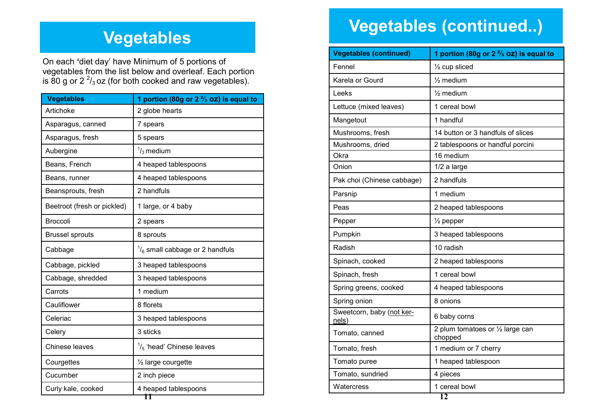# **Vegetables**

On each **'**diet day' have Minimum of 5 portions of vegetables from the list below and overleaf. Each portion is 80 g or 2  $\frac{2}{3}$  oz (for both cooked and raw vegetables).

| <b>Vegetables</b>           | 1 portion (80g or 2 $\frac{2}{3}$ oz) is equal to |
|-----------------------------|---------------------------------------------------|
| Artichoke                   | 2 globe hearts                                    |
| Asparagus, canned           | 7 spears                                          |
| Asparagus, fresh            | 5 spears                                          |
| Aubergine                   | $\frac{1}{3}$ medium                              |
| Beans, French               | 4 heaped tablespoons                              |
| Beans, runner               | 4 heaped tablespoons                              |
| Beansprouts, fresh          | 2 handfuls                                        |
| Beetroot (fresh or pickled) | 1 large, or 4 baby                                |
| <b>Broccoli</b>             | 2 spears                                          |
| <b>Brussel sprouts</b>      | 8 sprouts                                         |
| Cabbage                     | $\frac{1}{6}$ small cabbage or 2 handfuls         |
| Cabbage, pickled            | 3 heaped tablespoons                              |
| Cabbage, shredded           | 3 heaped tablespoons                              |
| Carrots                     | 1 medium                                          |
| Cauliflower                 | 8 florets                                         |
| Celeriac                    | 3 heaped tablespoons                              |
| Celery                      | 3 sticks                                          |
| Chinese leaves              | $\frac{1}{5}$ 'head' Chinese leaves               |
| Courgettes                  | 1/2 large courgette                               |
| Cucumber                    | 2 inch piece                                      |
| Curly kale, cooked          | 4 heaped tablespoons<br>11                        |

# **Vegetables (continued..)**

| <b>Vegetables (continued)</b>      | 1 portion (80g or 2 $\frac{2}{3}$ oz) is equal to |
|------------------------------------|---------------------------------------------------|
| Fennel                             | $\frac{1}{2}$ cup sliced                          |
| Karela or Gourd                    | $\frac{1}{2}$ medium                              |
| Leeks                              | $\frac{1}{2}$ medium                              |
| Lettuce (mixed leaves)             | 1 cereal bowl                                     |
| Mangetout                          | 1 handful                                         |
| Mushrooms, fresh                   | 14 button or 3 handfuls of slices                 |
| Mushrooms, dried                   | 2 tablespoons or handful porcini                  |
| Okra                               | 16 medium                                         |
| Onion                              | 1/2 a large                                       |
| Pak choi (Chinese cabbage)         | 2 handfuls                                        |
| Parsnip                            | 1 medium                                          |
| Peas                               | 2 heaped tablespoons                              |
| Pepper                             | $\frac{1}{2}$ pepper                              |
| Pumpkin                            | 3 heaped tablespoons                              |
| Radish                             | 10 radish                                         |
| Spinach, cooked                    | 2 heaped tablespoons                              |
| Spinach, fresh                     | 1 cereal bowl                                     |
| Spring greens, cooked              | 4 heaped tablespoons                              |
| Spring onion                       | 8 onions                                          |
| Sweetcorn, baby (not ker-<br>nels) | 6 baby corns                                      |
| Tomato, canned                     | 2 plum tomatoes or 1/2 large can<br>chopped       |
| Tomato, fresh                      | 1 medium or 7 cherry                              |
| Tomato puree                       | 1 heaped tablespoon                               |
| Tomato, sundried                   | 4 pieces                                          |
| Watercress                         | 1 cereal bowl                                     |
|                                    | 12                                                |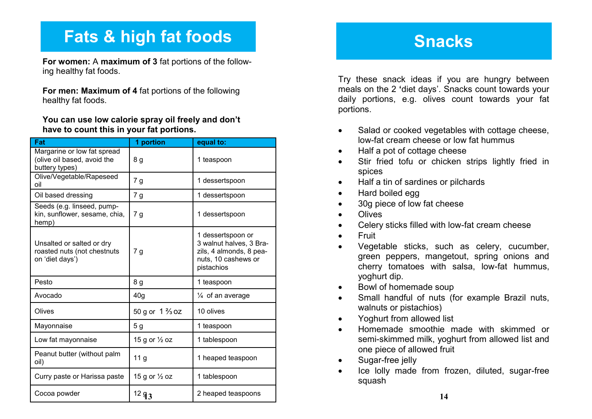# **Fats & high fat foods**

**For women:** A **maximum of 3** fat portions of the following healthy fat foods.

**For men: Maximum of 4** fat portions of the following healthy fat foods.

#### **You can use low calorie spray oil freely and don't have to count this in your fat portions.**

| Fat                                                                          | 1 portion                 | equal to:                                                                                                    |
|------------------------------------------------------------------------------|---------------------------|--------------------------------------------------------------------------------------------------------------|
| Margarine or low fat spread<br>(olive oil based, avoid the<br>buttery types) | 8 g                       | 1 teaspoon                                                                                                   |
| Olive/Vegetable/Rapeseed<br>oil                                              | 7 <sub>g</sub>            | 1 dessertspoon                                                                                               |
| Oil based dressing                                                           | 7g                        | 1 dessertspoon                                                                                               |
| Seeds (e.g. linseed, pump-<br>kin, sunflower, sesame, chia,<br>hemp)         | 7 g                       | 1 dessertspoon                                                                                               |
| Unsalted or salted or dry<br>roasted nuts (not chestnuts<br>on 'diet days')  | 7 <sub>g</sub>            | 1 dessertspoon or<br>3 walnut halves, 3 Bra-<br>zils, 4 almonds, 8 pea-<br>nuts, 10 cashews or<br>pistachios |
| Pesto                                                                        | 8 <sub>g</sub>            | 1 teaspoon                                                                                                   |
| Avocado                                                                      | 40 <sub>g</sub>           | $\frac{1}{4}$ of an average                                                                                  |
| Olives                                                                       | 50 g or $1\frac{2}{3}$ oz | 10 olives                                                                                                    |
| Mayonnaise                                                                   | 5 <sub>g</sub>            | 1 teaspoon                                                                                                   |
| Low fat mayonnaise                                                           | 15 g or 1/2 oz            | 1 tablespoon                                                                                                 |
| Peanut butter (without palm<br>oil)                                          | 11 <sub>g</sub>           | 1 heaped teaspoon                                                                                            |
| Curry paste or Harissa paste                                                 | 15 g or 1/2 oz            | 1 tablespoon                                                                                                 |
| Cocoa powder                                                                 | $12 g_3$                  | 2 heaped teaspoons                                                                                           |

### **Snacks**

Try these snack ideas if you are hungry between meals on the 2 **'**diet days'. Snacks count towards your daily portions, e.g. olives count towards your fat portions.

- Salad or cooked vegetables with cottage cheese, low-fat cream cheese or low fat hummus
- Half a pot of cottage cheese
- Stir fried tofu or chicken strips lightly fried in spices
- Half a tin of sardines or pilchards
- Hard boiled egg
- 30g piece of low fat cheese
- Olives
- Celery sticks filled with low-fat cream cheese
- **•** Fruit
- Vegetable sticks, such as celery, cucumber, green peppers, mangetout, spring onions and cherry tomatoes with salsa, low-fat hummus, yoghurt dip.
- Bowl of homemade soup
- Small handful of nuts (for example Brazil nuts, walnuts or pistachios)
- Yoghurt from allowed list
- Homemade smoothie made with skimmed or semi-skimmed milk, yoghurt from allowed list and one piece of allowed fruit
- Sugar-free jelly
- Ice lolly made from frozen, diluted, sugar-free squash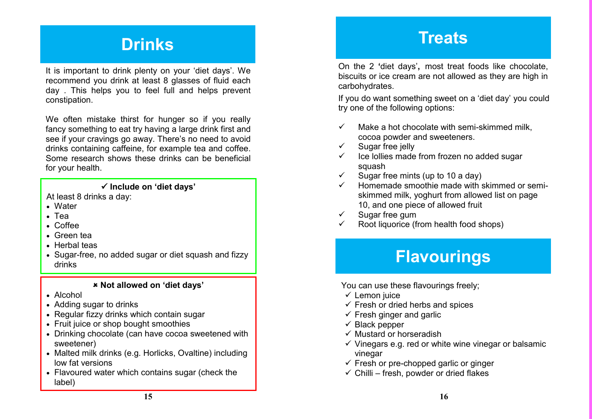# **Drinks**

It is important to drink plenty on your 'diet days'. We recommend you drink at least 8 glasses of fluid each day . This helps you to feel full and helps prevent constipation.

We often mistake thirst for hunger so if you really fancy something to eat try having a large drink first and see if your cravings go away. There's no need to avoid drinks containing caffeine, for example tea and coffee. Some research shows these drinks can be beneficial for your health.

#### **Include on 'diet days'**

At least 8 drinks a day:

- Water
- Tea
- Coffee
- Green tea
- Herbal teas
- Sugar-free, no added sugar or diet squash and fizzy drinks

#### **Not allowed on 'diet days'**

- Alcohol
- Adding sugar to drinks
- Regular fizzy drinks which contain sugar
- Fruit juice or shop bought smoothies
- Drinking chocolate (can have cocoa sweetened with sweetener)
- Malted milk drinks (e.g. Horlicks, Ovaltine) including low fat versions
- Flavoured water which contains sugar (check the label)

### **Treats**

On the 2 **'**diet days'**,** most treat foods like chocolate, biscuits or ice cream are not allowed as they are high in carbohydrates.

If you do want something sweet on a 'diet day' you could try one of the following options:

- $\checkmark$  Make a hot chocolate with semi-skimmed milk. cocoa powder and sweeteners.
- $\checkmark$  Sugar free jelly
- $\checkmark$  Ice lollies made from frozen no added sugar squash
- $\checkmark$  Sugar free mints (up to 10 a day)
- Homemade smoothie made with skimmed or semiskimmed milk, yoghurt from allowed list on page 10, and one piece of allowed fruit
- $\checkmark$  Sugar free gum
- Root liquorice (from health food shops)

# **Flavourings**

You can use these flavourings freely;

- $\checkmark$  Lemon juice
- $\checkmark$  Fresh or dried herbs and spices
- $\checkmark$  Fresh ginger and garlic
- $\checkmark$  Black pepper
- $\checkmark$  Mustard or horseradish
- $\checkmark$  Vinegars e.g. red or white wine vinegar or balsamic vinegar
- $\checkmark$  Fresh or pre-chopped garlic or ginger
- $\checkmark$  Chilli fresh, powder or dried flakes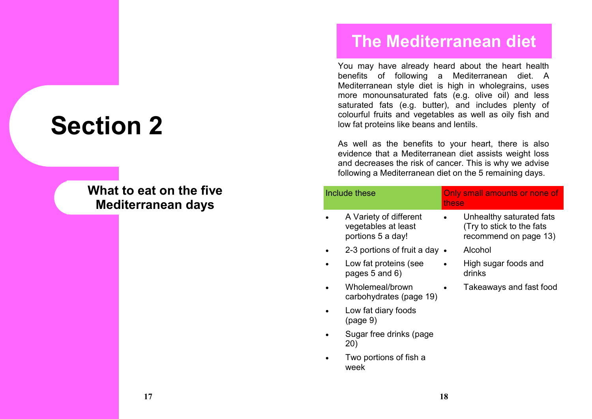# **Section 2**

### **What to eat on the five Mediterranean days**

### **The Mediterranean diet**

You may have already heard about the heart health benefits of following a Mediterranean diet. A Mediterranean style diet is high in wholegrains, uses more monounsaturated fats (e.g. olive oil) and less saturated fats (e.g. butter), and includes plenty of colourful fruits and vegetables as well as oily fish and low fat proteins like beans and lentils.

As well as the benefits to your heart, there is also evidence that a Mediterranean diet assists weight loss and decreases the risk of cancer. This is why we advise following a Mediterranean diet on the 5 remaining days.

|  | Include these                                                      | these | Only small amounts or none of                                                  |
|--|--------------------------------------------------------------------|-------|--------------------------------------------------------------------------------|
|  | A Variety of different<br>vegetables at least<br>portions 5 a day! |       | Unhealthy saturated fats<br>(Try to stick to the fats<br>recommend on page 13) |
|  | 2-3 portions of fruit a day $\bullet$                              |       | Alcohol                                                                        |
|  | Low fat proteins (see<br>pages $5$ and $6)$                        |       | High sugar foods and<br>drinks                                                 |
|  | Wholemeal/brown<br>carbohydrates (page 19)                         |       | Takeaways and fast food                                                        |
|  | Low fat diary foods<br>(page 9)                                    |       |                                                                                |
|  | Sugar free drinks (page<br>20)                                     |       |                                                                                |
|  | Two portions of fish a                                             |       |                                                                                |

week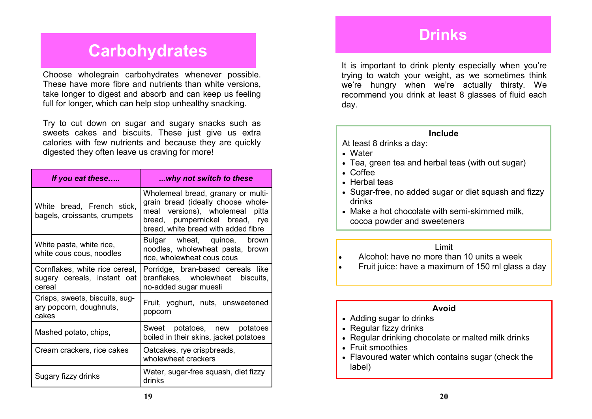### **Drinks**

### **Carbohydrates**

Choose wholegrain carbohydrates whenever possible. These have more fibre and nutrients than white versions, take longer to digest and absorb and can keep us feeling full for longer, which can help stop unhealthy snacking.

Try to cut down on sugar and sugary snacks such as sweets cakes and biscuits. These just give us extra calories with few nutrients and because they are quickly digested they often leave us craving for more!

| If you eat these                                                        | why not switch to these                                                                                                                                                              |
|-------------------------------------------------------------------------|--------------------------------------------------------------------------------------------------------------------------------------------------------------------------------------|
| White bread, French stick,<br>bagels, croissants, crumpets              | Wholemeal bread, granary or multi-<br>grain bread (ideally choose whole-<br>meal versions), wholemeal pitta<br>bread, pumpernickel bread, rye<br>bread, white bread with added fibre |
| White pasta, white rice,<br>white cous cous, noodles                    | Bulgar wheat, quinoa, brown<br>noodles, wholewheat pasta, brown<br>rice, wholewheat cous cous                                                                                        |
| Cornflakes, white rice cereal,<br>sugary cereals, instant oat<br>cereal | Porridge, bran-based cereals like<br>branflakes, wholewheat biscuits,<br>no-added sugar muesli                                                                                       |
| Crisps, sweets, biscuits, sug-<br>ary popcorn, doughnuts,<br>cakes      | Fruit, yoghurt, nuts, unsweetened<br>popcorn                                                                                                                                         |
| Mashed potato, chips,                                                   | Sweet potatoes, new potatoes<br>boiled in their skins, jacket potatoes                                                                                                               |
| Cream crackers, rice cakes                                              | Oatcakes, rye crispbreads,<br>wholewheat crackers                                                                                                                                    |
| Sugary fizzy drinks                                                     | Water, sugar-free squash, diet fizzy<br>drinks                                                                                                                                       |

It is important to drink plenty especially when you're trying to watch your weight, as we sometimes think we're hungry when we're actually thirsty. We recommend you drink at least 8 glasses of fluid each day.

#### **Include**

At least 8 drinks a day:

- Water
- Tea, green tea and herbal teas (with out sugar)
- Coffee
- Herbal teas
- Sugar-free, no added sugar or diet squash and fizzy drinks
- Make a hot chocolate with semi-skimmed milk. cocoa powder and sweeteners

#### Limit

Alcohol: have no more than 10 units a week

Fruit juice: have a maximum of 150 ml glass a day

#### **Avoid**

- Adding sugar to drinks
- Regular fizzy drinks
- Regular drinking chocolate or malted milk drinks
- Fruit smoothies
- Flavoured water which contains sugar (check the label)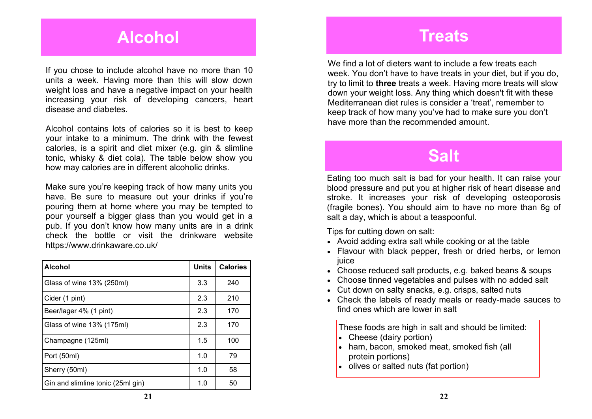### **Alcohol**

If you chose to include alcohol have no more than 10 units a week. Having more than this will slow down weight loss and have a negative impact on your health increasing your risk of developing cancers, heart disease and diabetes.

Alcohol contains lots of calories so it is best to keep your intake to a minimum. The drink with the fewest calories, is a spirit and diet mixer (e.g. gin & slimline tonic, whisky & diet cola). The table below show you how may calories are in different alcoholic drinks.

Make sure you're keeping track of how many units you have. Be sure to measure out your drinks if you're pouring them at home where you may be tempted to pour yourself a bigger glass than you would get in a pub. If you don't know how many units are in a drink check the bottle or visit the drinkware website https://www.drinkaware.co.uk/

| <b>Alcohol</b>                    | <b>Units</b> | <b>Calories</b> |
|-----------------------------------|--------------|-----------------|
| Glass of wine 13% (250ml)         | 3.3          | 240             |
| Cider (1 pint)                    | 2.3          | 210             |
| Beer/lager 4% (1 pint)            | 2.3          | 170             |
| Glass of wine 13% (175ml)         | 2.3          | 170             |
| Champagne (125ml)                 | 1.5          | 100             |
| Port (50ml)                       | 1.0          | 79              |
| Sherry (50ml)                     | 1.0          | 58              |
| Gin and slimline tonic (25ml gin) | 1.0          | 50              |

### **Treats**

We find a lot of dieters want to include a few treats each week. You don't have to have treats in your diet, but if you do, try to limit to **three** treats a week. Having more treats will slow down your weight loss. Any thing which doesn't fit with these Mediterranean diet rules is consider a 'treat', remember to keep track of how many you've had to make sure you don't have more than the recommended amount.

### **Salt**

Eating too much salt is bad for your health. It can raise your blood pressure and put you at higher risk of heart disease and stroke. It increases your risk of developing osteoporosis (fragile bones). You should aim to have no more than 6g of salt a day, which is about a teaspoonful.

Tips for cutting down on salt:

- Avoid adding extra salt while cooking or at the table
- Flavour with black pepper, fresh or dried herbs, or lemon juice
- Choose reduced salt products, e.g. baked beans & soups
- Choose tinned vegetables and pulses with no added salt
- Cut down on salty snacks, e.g. crisps, salted nuts
- Check the labels of ready meals or ready-made sauces to find ones which are lower in salt

These foods are high in salt and should be limited:

- Cheese (dairy portion)
- ham, bacon, smoked meat. smoked fish (all protein portions)
- olives or salted nuts (fat portion)